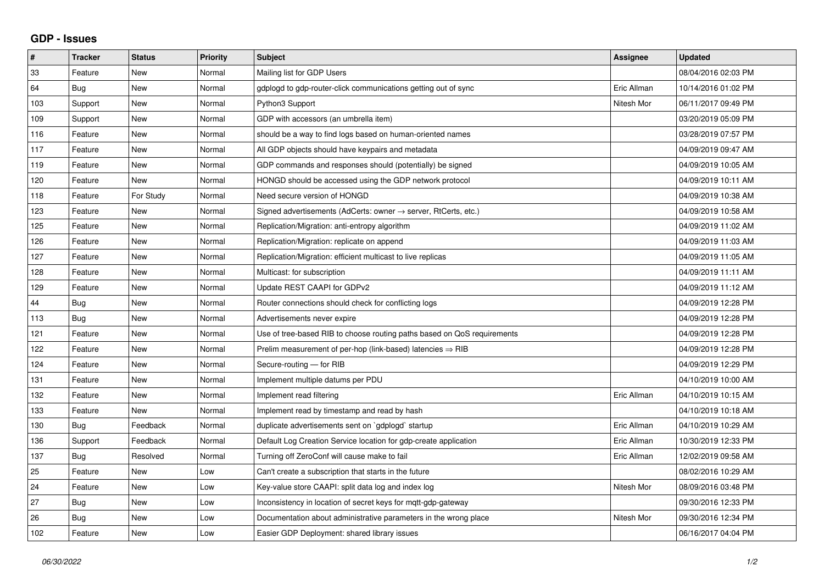## **GDP - Issues**

| #   | <b>Tracker</b> | <b>Status</b> | <b>Priority</b> | <b>Subject</b>                                                             | Assignee    | <b>Updated</b>      |
|-----|----------------|---------------|-----------------|----------------------------------------------------------------------------|-------------|---------------------|
| 33  | Feature        | <b>New</b>    | Normal          | Mailing list for GDP Users                                                 |             | 08/04/2016 02:03 PM |
| 64  | Bug            | <b>New</b>    | Normal          | gdplogd to gdp-router-click communications getting out of sync             | Eric Allman | 10/14/2016 01:02 PM |
| 103 | Support        | <b>New</b>    | Normal          | Python3 Support                                                            | Nitesh Mor  | 06/11/2017 09:49 PM |
| 109 | Support        | <b>New</b>    | Normal          | GDP with accessors (an umbrella item)                                      |             | 03/20/2019 05:09 PM |
| 116 | Feature        | <b>New</b>    | Normal          | should be a way to find logs based on human-oriented names                 |             | 03/28/2019 07:57 PM |
| 117 | Feature        | <b>New</b>    | Normal          | All GDP objects should have keypairs and metadata                          |             | 04/09/2019 09:47 AM |
| 119 | Feature        | <b>New</b>    | Normal          | GDP commands and responses should (potentially) be signed                  |             | 04/09/2019 10:05 AM |
| 120 | Feature        | <b>New</b>    | Normal          | HONGD should be accessed using the GDP network protocol                    |             | 04/09/2019 10:11 AM |
| 118 | Feature        | For Study     | Normal          | Need secure version of HONGD                                               |             | 04/09/2019 10:38 AM |
| 123 | Feature        | New           | Normal          | Signed advertisements (AdCerts: owner $\rightarrow$ server, RtCerts, etc.) |             | 04/09/2019 10:58 AM |
| 125 | Feature        | <b>New</b>    | Normal          | Replication/Migration: anti-entropy algorithm                              |             | 04/09/2019 11:02 AM |
| 126 | Feature        | <b>New</b>    | Normal          | Replication/Migration: replicate on append                                 |             | 04/09/2019 11:03 AM |
| 127 | Feature        | <b>New</b>    | Normal          | Replication/Migration: efficient multicast to live replicas                |             | 04/09/2019 11:05 AM |
| 128 | Feature        | <b>New</b>    | Normal          | Multicast: for subscription                                                |             | 04/09/2019 11:11 AM |
| 129 | Feature        | <b>New</b>    | Normal          | Update REST CAAPI for GDPv2                                                |             | 04/09/2019 11:12 AM |
| 44  | Bug            | <b>New</b>    | Normal          | Router connections should check for conflicting logs                       |             | 04/09/2019 12:28 PM |
| 113 | Bug            | <b>New</b>    | Normal          | Advertisements never expire                                                |             | 04/09/2019 12:28 PM |
| 121 | Feature        | <b>New</b>    | Normal          | Use of tree-based RIB to choose routing paths based on QoS requirements    |             | 04/09/2019 12:28 PM |
| 122 | Feature        | <b>New</b>    | Normal          | Prelim measurement of per-hop (link-based) latencies $\Rightarrow$ RIB     |             | 04/09/2019 12:28 PM |
| 124 | Feature        | <b>New</b>    | Normal          | Secure-routing - for RIB                                                   |             | 04/09/2019 12:29 PM |
| 131 | Feature        | New           | Normal          | Implement multiple datums per PDU                                          |             | 04/10/2019 10:00 AM |
| 132 | Feature        | <b>New</b>    | Normal          | Implement read filtering                                                   | Eric Allman | 04/10/2019 10:15 AM |
| 133 | Feature        | <b>New</b>    | Normal          | Implement read by timestamp and read by hash                               |             | 04/10/2019 10:18 AM |
| 130 | Bug            | Feedback      | Normal          | duplicate advertisements sent on `gdplogd` startup                         | Eric Allman | 04/10/2019 10:29 AM |
| 136 | Support        | Feedback      | Normal          | Default Log Creation Service location for gdp-create application           | Eric Allman | 10/30/2019 12:33 PM |
| 137 | Bug            | Resolved      | Normal          | Turning off ZeroConf will cause make to fail                               | Eric Allman | 12/02/2019 09:58 AM |
| 25  | Feature        | <b>New</b>    | Low             | Can't create a subscription that starts in the future                      |             | 08/02/2016 10:29 AM |
| 24  | Feature        | <b>New</b>    | Low             | Key-value store CAAPI: split data log and index log                        | Nitesh Mor  | 08/09/2016 03:48 PM |
| 27  | <b>Bug</b>     | <b>New</b>    | Low             | Inconsistency in location of secret keys for mgtt-gdp-gateway              |             | 09/30/2016 12:33 PM |
| 26  | Bug            | <b>New</b>    | Low             | Documentation about administrative parameters in the wrong place           | Nitesh Mor  | 09/30/2016 12:34 PM |
| 102 | Feature        | New           | Low             | Easier GDP Deployment: shared library issues                               |             | 06/16/2017 04:04 PM |